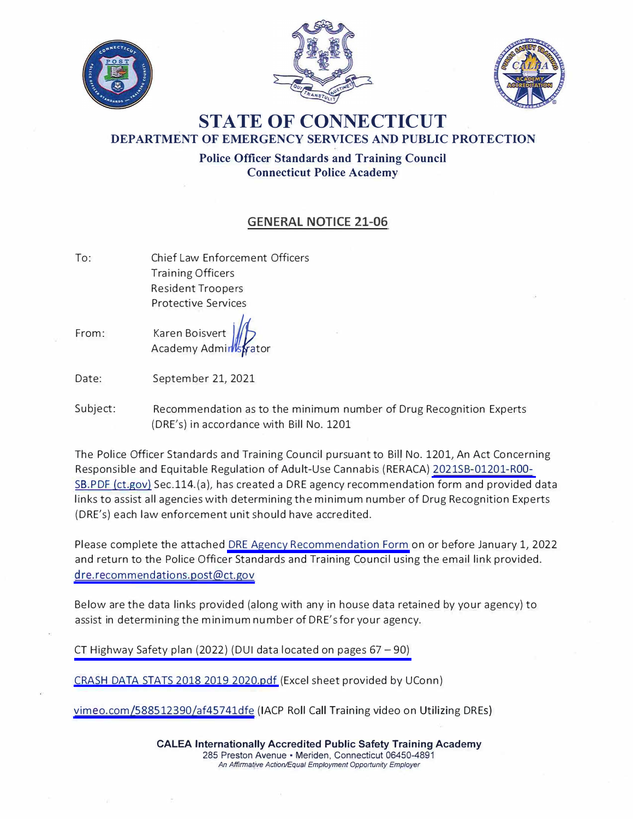





## **STATE OF CONNECTICUT DEPARTMENT OF EMERGENCY SERVICES AND PUBLIC PROTECTION**

**Police Officer Standards and Training Council Connecticut Police Academy** 

## **GENERAL NOTICE 21-06**

- To: Chief Law Enforcement Officers Training Officers Resident Troopers Protective Services
- From: Karen Boisve Academy Admir

Date: September 21, 2021

Subject: Recommendation as to the minimum number of Drug Recognition Experts (DRE's) in accordance with Bill No. 1201

The Police Officer Standards and Training Council pursuant to BiH No. 1201, An Act Concerning Responsible and Equitable Regulation of Adult-Use Cannabis (RERACA) [2021SB-01201-ROO-](https://www.cga.ct.gov/2021/TOB/S/PDF/2021SB-01201-R00-SB.PDF)S8.PDF (ct.gov) Sec.114.(a), has created a DRE agency recommendation form and provided data links to assist all agencies with determining the minimum number of Drug Recognition Experts (DRE's) each law enforcement unit should have accredited.

Please complete the attached [DRE Agency Recommendation Form](https://portal.ct.gov/-/media/POST/GENERAL_NOTICES/2021/GN-21-06/DRE-Agency-Recommendation-Form-9_21_21.pdf) on or before January 1, 2022 and return to the Police Officer Standards and Training Council using the email link provided. [dre.recommendations.post@ct.gov](mailto:dre.recommendations.post@ct.gov) 

Below are the data links provided (along with any in house data retained by your agency) to assist in determining the minimum number of DRE's for your agency.

CT Highway Safety plan (2022) (DUI data located on pages  $67 - 90$ )

[CRASH DATA STATS 2018 2019 2020.pdf](https://portal.ct.gov/-/media/POST/GENERAL_NOTICES/2021/GN-21-06/CRASH-DATA-STATS-2018-2019-2020.pdf) (Excel sheet provided by UConn)

[vimeo.com/588512390/af45741dfe](https://vimeo.com/588512390/af45741dfe) (IACP Roll Call Training video on Utilizing DREs)